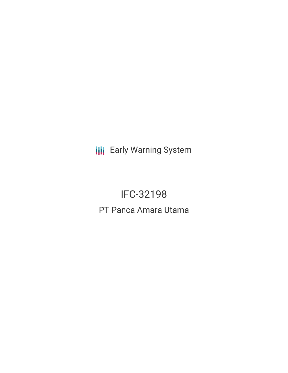**III** Early Warning System

# IFC-32198 PT Panca Amara Utama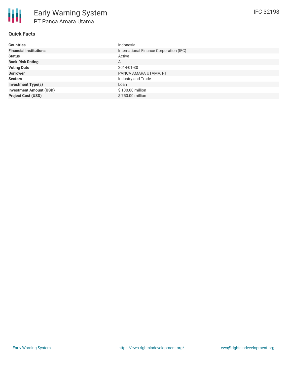## **Quick Facts**

| <b>Countries</b>               | Indonesia                               |
|--------------------------------|-----------------------------------------|
| <b>Financial Institutions</b>  | International Finance Corporation (IFC) |
| <b>Status</b>                  | Active                                  |
| <b>Bank Risk Rating</b>        | A                                       |
| <b>Voting Date</b>             | 2014-01-30                              |
| <b>Borrower</b>                | PANCA AMARA UTAMA, PT                   |
| <b>Sectors</b>                 | Industry and Trade                      |
| <b>Investment Type(s)</b>      | Loan                                    |
| <b>Investment Amount (USD)</b> | \$130.00 million                        |
| <b>Project Cost (USD)</b>      | \$750.00 million                        |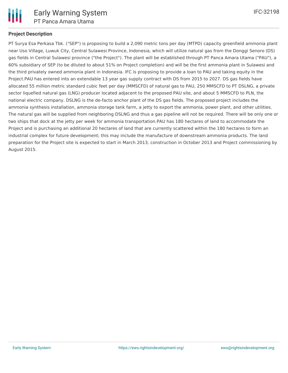

## **Project Description**

PT Surya Esa Perkasa Tbk. ("SEP") is proposing to build a 2,090 metric tons per day (MTPD) capacity greenfield ammonia plant near Uso Village, Luwuk City, Central Sulawesi Province, Indonesia, which will utilize natural gas from the Donggi Senoro (DS) gas fields in Central Sulawesi province ("the Project"). The plant will be established through PT Panca Amara Utama ("PAU"), a 60% subsidiary of SEP (to be diluted to about 51% on Project completion) and will be the first ammonia plant in Sulawesi and the third privately owned ammonia plant in Indonesia. IFC is proposing to provide a loan to PAU and taking equity in the Project.PAU has entered into an extendable 13 year gas supply contract with DS from 2015 to 2027. DS gas fields have allocated 55 million metric standard cubic feet per day (MMSCFD) of natural gas to PAU, 250 MMSCFD to PT DSLNG, a private sector liquefied natural gas (LNG) producer located adjacent to the proposed PAU site, and about 5 MMSCFD to PLN, the national electric company. DSLNG is the de-facto anchor plant of the DS gas fields. The proposed project includes the ammonia synthesis installation, ammonia storage tank farm, a jetty to export the ammonia, power plant, and other utilities. The natural gas will be supplied from neighboring DSLNG and thus a gas pipeline will not be required. There will be only one or two ships that dock at the jetty per week for ammonia transportation.PAU has 180 hectares of land to accommodate the Project and is purchasing an additional 20 hectares of land that are currently scattered within the 180 hectares to form an industrial complex for future development; this may include the manufacture of downstream ammonia products. The land preparation for the Project site is expected to start in March 2013, construction in October 2013 and Project commissioning by August 2015.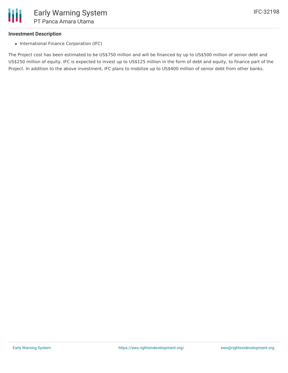#### **Investment Description**

• International Finance Corporation (IFC)

The Project cost has been estimated to be US\$750 million and will be financed by up to US\$500 million of senior debt and US\$250 million of equity. IFC is expected to invest up to US\$125 million in the form of debt and equity, to finance part of the Project. In addition to the above investment, IFC plans to mobilize up to US\$400 million of senior debt from other banks.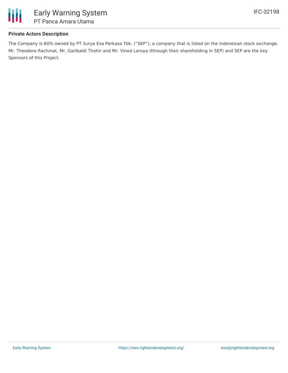

## **Private Actors Description**

The Company is 60% owned by PT Surya Esa Perkasa Tbk. ("SEP"), a company that is listed on the Indonesian stock exchange. Mr. Theodore Rachmat, Mr. Garibaldi Thohir and Mr. Vinod Laroya (through their shareholding in SEP) and SEP are the key Sponsors of this Project.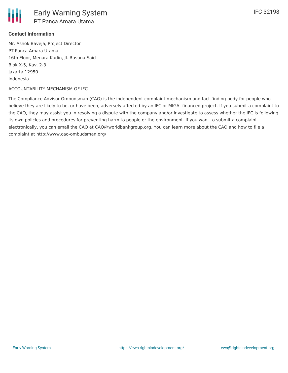#### **Contact Information**

Mr. Ashok Baveja, Project Director PT Panca Amara Utama 16th Floor, Menara Kadin, Jl. Rasuna Said Blok X-5, Kav. 2-3 Jakarta 12950 Indonesia

#### ACCOUNTABILITY MECHANISM OF IFC

The Compliance Advisor Ombudsman (CAO) is the independent complaint mechanism and fact-finding body for people who believe they are likely to be, or have been, adversely affected by an IFC or MIGA- financed project. If you submit a complaint to the CAO, they may assist you in resolving a dispute with the company and/or investigate to assess whether the IFC is following its own policies and procedures for preventing harm to people or the environment. If you want to submit a complaint electronically, you can email the CAO at CAO@worldbankgroup.org. You can learn more about the CAO and how to file a complaint at http://www.cao-ombudsman.org/